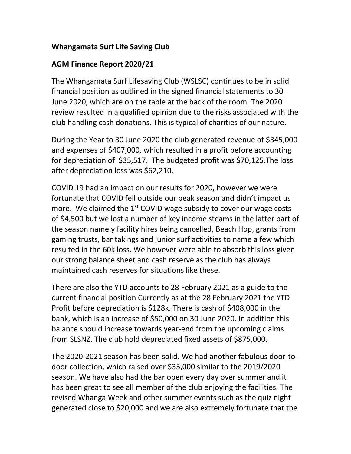## **Whangamata Surf Life Saving Club**

## **AGM Finance Report 2020/21**

The Whangamata Surf Lifesaving Club (WSLSC) continues to be in solid financial position as outlined in the signed financial statements to 30 June 2020, which are on the table at the back of the room. The 2020 review resulted in a qualified opinion due to the risks associated with the club handling cash donations. This is typical of charities of our nature.

During the Year to 30 June 2020 the club generated revenue of \$345,000 and expenses of \$407,000, which resulted in a profit before accounting for depreciation of \$35,517. The budgeted profit was \$70,125.The loss after depreciation loss was \$62,210.

COVID 19 had an impact on our results for 2020, however we were fortunate that COVID fell outside our peak season and didn't impact us more. We claimed the  $1<sup>st</sup>$  COVID wage subsidy to cover our wage costs of \$4,500 but we lost a number of key income steams in the latter part of the season namely facility hires being cancelled, Beach Hop, grants from gaming trusts, bar takings and junior surf activities to name a few which resulted in the 60k loss. We however were able to absorb this loss given our strong balance sheet and cash reserve as the club has always maintained cash reserves for situations like these.

There are also the YTD accounts to 28 February 2021 as a guide to the current financial position Currently as at the 28 February 2021 the YTD Profit before depreciation is \$128k. There is cash of \$408,000 in the bank, which is an increase of \$50,000 on 30 June 2020. In addition this balance should increase towards year-end from the upcoming claims from SLSNZ. The club hold depreciated fixed assets of \$875,000.

The 2020-2021 season has been solid. We had another fabulous door-todoor collection, which raised over \$35,000 similar to the 2019/2020 season. We have also had the bar open every day over summer and it has been great to see all member of the club enjoying the facilities. The revised Whanga Week and other summer events such as the quiz night generated close to \$20,000 and we are also extremely fortunate that the